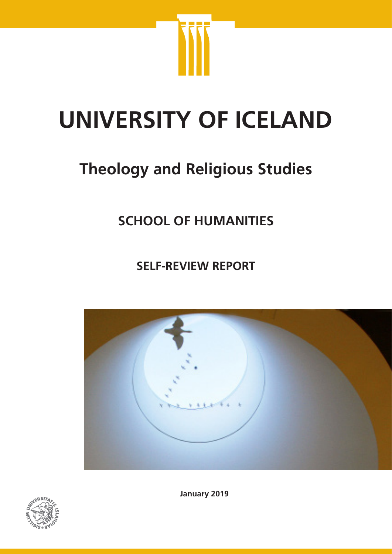

# **UNIVERSITY OF ICELAND**

# **Theology and Religious Studies**

# **SCHOOL OF HUMANITIES**

**SELF-REVIEW REPORT**





**January 2019**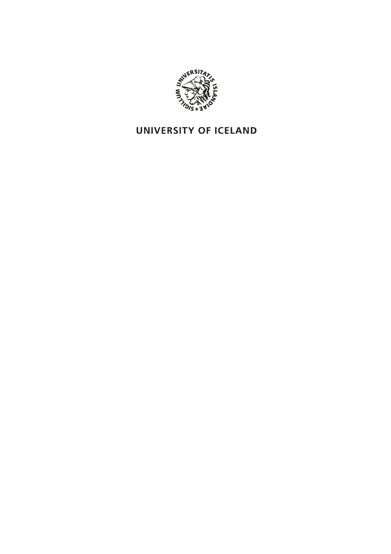

## UNIVERSITY OF ICELAND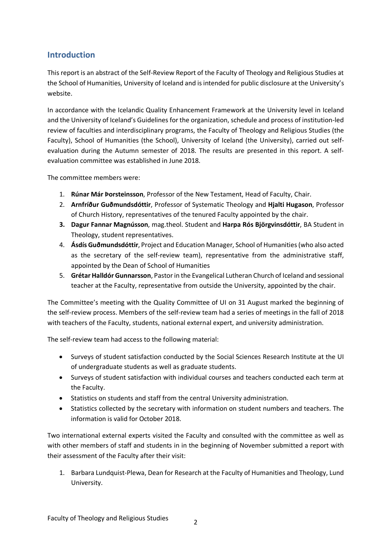#### **Introduction**

This report is an abstract of the Self-Review Report of the Faculty of Theology and Religious Studies at the School of Humanities, University of Iceland and is intended for public disclosure at the University's website.

In accordance with the Icelandic Quality Enhancement Framework at the University level in Iceland and the University of Iceland's Guidelines for the organization, schedule and process of institution-led review of faculties and interdisciplinary programs, the Faculty of Theology and Religious Studies (the Faculty), School of Humanities (the School), University of Iceland (the University), carried out selfevaluation during the Autumn semester of 2018. The results are presented in this report. A selfevaluation committee was established in June 2018.

The committee members were:

- 1. **Rúnar Már Þorsteinsson**, Professor of the New Testament, Head of Faculty, Chair.
- 2. **Arnfríður Guðmundsdóttir**, Professor of Systematic Theology and **Hjalti Hugason**, Professor of Church History, representatives of the tenured Faculty appointed by the chair.
- **3. Dagur Fannar Magnússon**, mag.theol. Student and **Harpa Rós Björgvinsdóttir**, BA Student in Theology, student representatives.
- 4. **Ásdís Guðmundsdóttir**, Project and Education Manager, School of Humanities (who also acted as the secretary of the self-review team), representative from the administrative staff, appointed by the Dean of School of Humanities
- 5. **Grétar Halldór Gunnarsson**, Pastor in the Evangelical Lutheran Church of Iceland and sessional teacher at the Faculty, representative from outside the University, appointed by the chair.

The Committee's meeting with the Quality Committee of UI on 31 August marked the beginning of the self-review process. Members of the self-review team had a series of meetings in the fall of 2018 with teachers of the Faculty, students, national external expert, and university administration.

The self-review team had access to the following material:

- Surveys of student satisfaction conducted by the Social Sciences Research Institute at the UI of undergraduate students as well as graduate students.
- Surveys of student satisfaction with individual courses and teachers conducted each term at the Faculty.
- Statistics on students and staff from the central University administration.
- Statistics collected by the secretary with information on student numbers and teachers. The information is valid for October 2018.

Two international external experts visited the Faculty and consulted with the committee as well as with other members of staff and students in in the beginning of November submitted a report with their assessment of the Faculty after their visit:

1. Barbara Lundquist-Plewa, Dean for Research at the Faculty of Humanities and Theology, Lund University.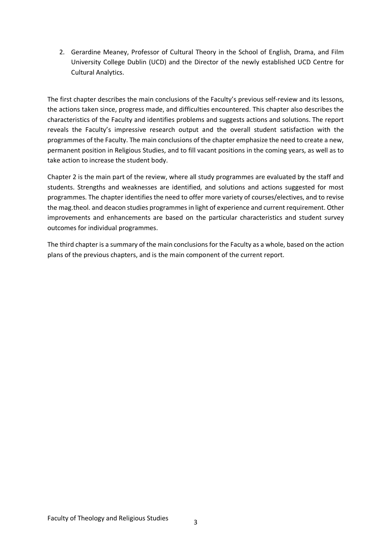2. Gerardine Meaney, Professor of Cultural Theory in the School of English, Drama, and Film University College Dublin (UCD) and the Director of the newly established UCD Centre for Cultural Analytics.

The first chapter describes the main conclusions of the Faculty's previous self-review and its lessons, the actions taken since, progress made, and difficulties encountered. This chapter also describes the characteristics of the Faculty and identifies problems and suggests actions and solutions. The report reveals the Faculty's impressive research output and the overall student satisfaction with the programmes of the Faculty. The main conclusions of the chapter emphasize the need to create a new, permanent position in Religious Studies, and to fill vacant positions in the coming years, as well as to take action to increase the student body.

Chapter 2 is the main part of the review, where all study programmes are evaluated by the staff and students. Strengths and weaknesses are identified, and solutions and actions suggested for most programmes. The chapter identifies the need to offer more variety of courses/electives, and to revise the mag.theol. and deacon studies programmes in light of experience and current requirement. Other improvements and enhancements are based on the particular characteristics and student survey outcomes for individual programmes.

The third chapter is a summary of the main conclusions for the Faculty as a whole, based on the action plans of the previous chapters, and is the main component of the current report.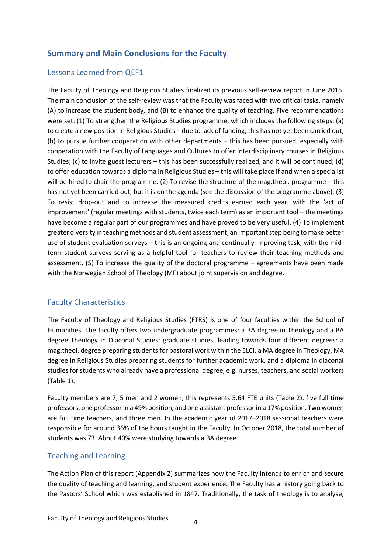#### **Summary and Main Conclusions for the Faculty**

#### Lessons Learned from QEF1

The Faculty of Theology and Religious Studies finalized its previous self-review report in June 2015. The main conclusion of the self-review was that the Faculty was faced with two critical tasks, namely (A) to increase the student body, and (B) to enhance the quality of teaching. Five recommendations were set: (1) To strengthen the Religious Studies programme, which includes the following steps: (a) to create a new position in Religious Studies – due to lack of funding, this has not yet been carried out; (b) to pursue further cooperation with other departments – this has been pursued, especially with cooperation with the Faculty of Languages and Cultures to offer interdisciplinary courses in Religious Studies; (c) to invite guest lecturers – this has been successfully realized, and it will be continued; (d) to offer education towards a diploma in Religious Studies – this will take place if and when a specialist will be hired to chair the programme. (2) To revise the structure of the mag.theol. programme – this has not yet been carried out, but it is on the agenda (see the discussion of the programme above). (3) To resist drop-out and to increase the measured credits earned each year, with the 'act of improvement' (regular meetings with students, twice each term) as an important tool – the meetings have become a regular part of our programmes and have proved to be very useful. (4) To implement greater diversity in teaching methods and student assessment, an important step being to make better use of student evaluation surveys – this is an ongoing and continually improving task, with the midterm student surveys serving as a helpful tool for teachers to review their teaching methods and assessment. (5) To increase the quality of the doctoral programme – agreements have been made with the Norwegian School of Theology (MF) about joint supervision and degree.

#### Faculty Characteristics

The Faculty of Theology and Religious Studies (FTRS) is one of four faculties within the School of Humanities. The faculty offers two undergraduate programmes: a BA degree in Theology and a BA degree Theology in Diaconal Studies; graduate studies, leading towards four different degrees: a mag.theol. degree preparing students for pastoral work within the ELCI, a MA degree in Theology, MA degree in Religious Studies preparing students for further academic work, and a diploma in diaconal studies for students who already have a professional degree, e.g. nurses, teachers, and social workers (Table 1).

Faculty members are 7, 5 men and 2 women; this represents 5.64 FTE units (Table 2). five full time professors, one professor in a 49% position, and one assistant professor in a 17% position. Two women are full time teachers, and three men. In the academic year of 2017–2018 sessional teachers were responsible for around 36% of the hours taught in the Faculty. In October 2018, the total number of students was 73. About 40% were studying towards a BA degree.

#### Teaching and Learning

The Action Plan of this report (Appendix 2) summarizes how the Faculty intends to enrich and secure the quality of teaching and learning, and student experience. The Faculty has a history going back to the Pastors' School which was established in 1847. Traditionally, the task of theology is to analyse,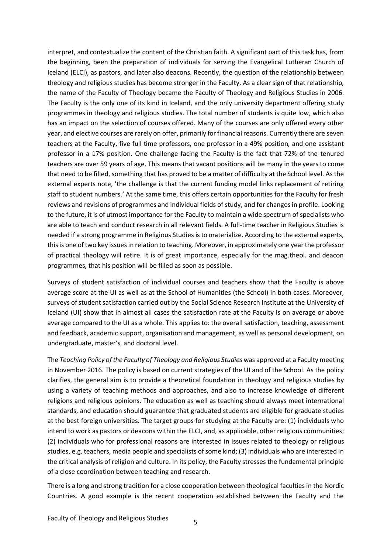interpret, and contextualize the content of the Christian faith. A significant part of this task has, from the beginning, been the preparation of individuals for serving the Evangelical Lutheran Church of Iceland (ELCI), as pastors, and later also deacons. Recently, the question of the relationship between theology and religious studies has become stronger in the Faculty. As a clear sign of that relationship, the name of the Faculty of Theology became the Faculty of Theology and Religious Studies in 2006. The Faculty is the only one of its kind in Iceland, and the only university department offering study programmes in theology and religious studies. The total number of students is quite low, which also has an impact on the selection of courses offered. Many of the courses are only offered every other year, and elective courses are rarely on offer, primarily for financial reasons. Currently there are seven teachers at the Faculty, five full time professors, one professor in a 49% position, and one assistant professor in a 17% position. One challenge facing the Faculty is the fact that 72% of the tenured teachers are over 59 years of age. This means that vacant positions will be many in the years to come that need to be filled, something that has proved to be a matter of difficulty at the School level. As the external experts note, 'the challenge is that the current funding model links replacement of retiring staff to student numbers.' At the same time, this offers certain opportunities for the Faculty for fresh reviews and revisions of programmes and individual fields of study, and for changes in profile. Looking to the future, it is of utmost importance for the Faculty to maintain a wide spectrum of specialists who are able to teach and conduct research in all relevant fields. A full-time teacher in Religious Studies is needed if a strong programme in Religious Studies is to materialize. According to the external experts, this is one of two key issues in relation to teaching. Moreover, in approximately one year the professor of practical theology will retire. It is of great importance, especially for the mag.theol. and deacon programmes, that his position will be filled as soon as possible.

Surveys of student satisfaction of individual courses and teachers show that the Faculty is above average score at the UI as well as at the School of Humanities (the School) in both cases. Moreover, surveys of student satisfaction carried out by the Social Science Research Institute at the University of Iceland (UI) show that in almost all cases the satisfaction rate at the Faculty is on average or above average compared to the UI as a whole. This applies to: the overall satisfaction, teaching, assessment and feedback, academic support, organisation and management, as well as personal development, on undergraduate, master's, and doctoral level.

The *Teaching Policy of the Faculty of Theology and Religious Studies* was approved at a Faculty meeting in November 2016. The policy is based on current strategies of the UI and of the School. As the policy clarifies, the general aim is to provide a theoretical foundation in theology and religious studies by using a variety of teaching methods and approaches, and also to increase knowledge of different religions and religious opinions. The education as well as teaching should always meet international standards, and education should guarantee that graduated students are eligible for graduate studies at the best foreign universities. The target groups for studying at the Faculty are: (1) individuals who intend to work as pastors or deacons within the ELCI, and, as applicable, other religious communities; (2) individuals who for professional reasons are interested in issues related to theology or religious studies, e.g. teachers, media people and specialists of some kind; (3) individuals who are interested in the critical analysis of religion and culture. In its policy, the Faculty stresses the fundamental principle of a close coordination between teaching and research.

There is a long and strong tradition for a close cooperation between theological faculties in the Nordic Countries. A good example is the recent cooperation established between the Faculty and the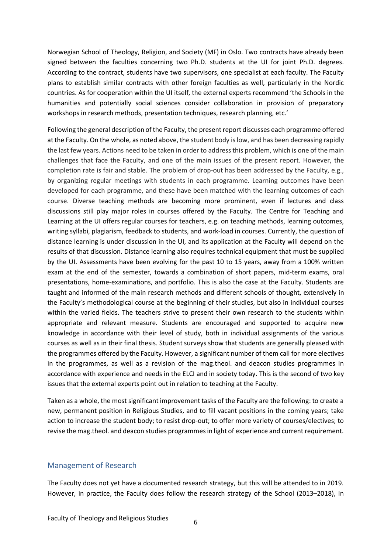Norwegian School of Theology, Religion, and Society (MF) in Oslo. Two contracts have already been signed between the faculties concerning two Ph.D. students at the UI for joint Ph.D. degrees. According to the contract, students have two supervisors, one specialist at each faculty. The Faculty plans to establish similar contracts with other foreign faculties as well, particularly in the Nordic countries. As for cooperation within the UI itself, the external experts recommend 'the Schools in the humanities and potentially social sciences consider collaboration in provision of preparatory workshops in research methods, presentation techniques, research planning, etc.'

Following the general description of the Faculty, the present report discusses each programme offered at the Faculty. On the whole, as noted above, the student body is low, and has been decreasing rapidly the last few years. Actions need to be taken in order to address this problem, which is one of the main challenges that face the Faculty, and one of the main issues of the present report. However, the completion rate is fair and stable. The problem of drop-out has been addressed by the Faculty, e.g., by organizing regular meetings with students in each programme. Learning outcomes have been developed for each programme, and these have been matched with the learning outcomes of each course. Diverse teaching methods are becoming more prominent, even if lectures and class discussions still play major roles in courses offered by the Faculty. The Centre for Teaching and Learning at the UI offers regular courses for teachers, e.g. on teaching methods, learning outcomes, writing syllabi, plagiarism, feedback to students, and work-load in courses. Currently, the question of distance learning is under discussion in the UI, and its application at the Faculty will depend on the results of that discussion. Distance learning also requires technical equipment that must be supplied by the UI. Assessments have been evolving for the past 10 to 15 years, away from a 100% written exam at the end of the semester, towards a combination of short papers, mid-term exams, oral presentations, home-examinations, and portfolio. This is also the case at the Faculty. Students are taught and informed of the main research methods and different schools of thought, extensively in the Faculty's methodological course at the beginning of their studies, but also in individual courses within the varied fields. The teachers strive to present their own research to the students within appropriate and relevant measure. Students are encouraged and supported to acquire new knowledge in accordance with their level of study, both in individual assignments of the various courses as well as in their final thesis. Student surveys show that students are generally pleased with the programmes offered by the Faculty. However, a significant number of them call for more electives in the programmes, as well as a revision of the mag.theol. and deacon studies programmes in accordance with experience and needs in the ELCI and in society today. This is the second of two key issues that the external experts point out in relation to teaching at the Faculty.

Taken as a whole, the most significant improvement tasks of the Faculty are the following: to create a new, permanent position in Religious Studies, and to fill vacant positions in the coming years; take action to increase the student body; to resist drop-out; to offer more variety of courses/electives; to revise the mag.theol. and deacon studies programmes in light of experience and current requirement.

#### Management of Research

The Faculty does not yet have a documented research strategy, but this will be attended to in 2019. However, in practice, the Faculty does follow the research strategy of the School (2013–2018), in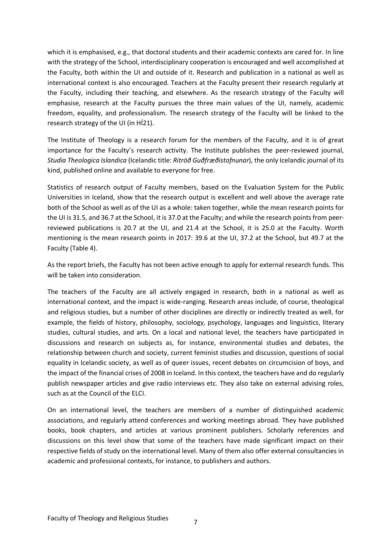which it is emphasised, e.g., that doctoral students and their academic contexts are cared for. In line with the strategy of the School, interdisciplinary cooperation is encouraged and well accomplished at the Faculty, both within the UI and outside of it. Research and publication in a national as well as international context is also encouraged. Teachers at the Faculty present their research regularly at the Faculty, including their teaching, and elsewhere. As the research strategy of the Faculty will emphasise, research at the Faculty pursues the three main values of the UI, namely, academic freedom, equality, and professionalism. The research strategy of the Faculty will be linked to the research strategy of the UI (in HÍ21).

The Institute of Theology is a research forum for the members of the Faculty, and it is of great importance for the Faculty's research activity. The Institute publishes the peer-reviewed journal, *Studia Theologica Islandica* (Icelandic title: *Ritröð Guðfræðistofnunar*), the only Icelandic journal of its kind, published online and available to everyone for free.

Statistics of research output of Faculty members, based on the Evaluation System for the Public Universities in Iceland, show that the research output is excellent and well above the average rate both of the School as well as of the UI as a whole: taken together, while the mean research points for the UI is 31.5, and 36.7 at the School, it is 37.0 at the Faculty; and while the research points from peerreviewed publications is 20.7 at the UI, and 21.4 at the School, it is 25.0 at the Faculty. Worth mentioning is the mean research points in 2017: 39.6 at the UI, 37.2 at the School, but 49.7 at the Faculty (Table 4).

As the report briefs, the Faculty has not been active enough to apply for external research funds. This will be taken into consideration.

The teachers of the Faculty are all actively engaged in research, both in a national as well as international context, and the impact is wide-ranging. Research areas include, of course, theological and religious studies, but a number of other disciplines are directly or indirectly treated as well, for example, the fields of history, philosophy, sociology, psychology, languages and linguistics, literary studies, cultural studies, and arts. On a local and national level, the teachers have participated in discussions and research on subjects as, for instance, environmental studies and debates, the relationship between church and society, current feminist studies and discussion, questions of social equality in Icelandic society, as well as of queer issues, recent debates on circumcision of boys, and the impact of the financial crises of 2008 in Iceland. In this context, the teachers have and do regularly publish newspaper articles and give radio interviews etc. They also take on external advising roles, such as at the Council of the ELCI.

On an international level, the teachers are members of a number of distinguished academic associations, and regularly attend conferences and working meetings abroad. They have published books, book chapters, and articles at various prominent publishers. Scholarly references and discussions on this level show that some of the teachers have made significant impact on their respective fields of study on the international level. Many of them also offer external consultancies in academic and professional contexts, for instance, to publishers and authors.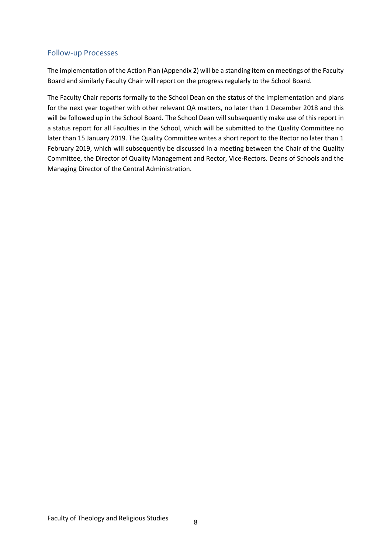#### Follow-up Processes

The implementation of the Action Plan (Appendix 2) will be a standing item on meetings of the Faculty Board and similarly Faculty Chair will report on the progress regularly to the School Board.

The Faculty Chair reports formally to the School Dean on the status of the implementation and plans for the next year together with other relevant QA matters, no later than 1 December 2018 and this will be followed up in the School Board. The School Dean will subsequently make use of this report in a status report for all Faculties in the School, which will be submitted to the Quality Committee no later than 15 January 2019. The Quality Committee writes a short report to the Rector no later than 1 February 2019, which will subsequently be discussed in a meeting between the Chair of the Quality Committee, the Director of Quality Management and Rector, Vice-Rectors. Deans of Schools and the Managing Director of the Central Administration.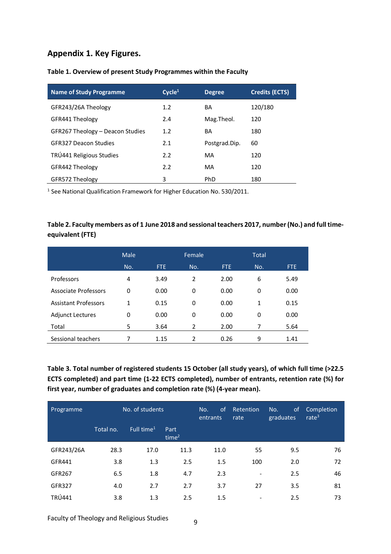#### **Appendix 1. Key Figures.**

| <b>Name of Study Programme</b>   | Cycle <sup>1</sup> | <b>Degree</b> | <b>Credits (ECTS)</b> |
|----------------------------------|--------------------|---------------|-----------------------|
| GFR243/26A Theology              | 1.2                | BA            | 120/180               |
| GFR441 Theology                  | 2.4                | Mag.Theol.    | 120                   |
| GFR267 Theology - Deacon Studies | 1.2                | BA            | 180                   |
| <b>GER327 Deacon Studies</b>     | 2.1                | Postgrad.Dip. | 60                    |
| TRÚ441 Religious Studies         | 2.2                | MA            | 120                   |
| GFR442 Theology                  | 2.2                | MA            | 120                   |
| GFR572 Theology                  | 3                  | PhD           | 180                   |

#### **Table 1. Overview of present Study Programmes within the Faculty**

<sup>1</sup> See National Qualification Framework for Higher Education No. 530/2011.

#### **Table 2. Faculty members as of 1 June 2018 and sessional teachers 2017, number (No.) and full timeequivalent (FTE)**

|                             | Male |      | Female         |      | <b>Total</b> |            |
|-----------------------------|------|------|----------------|------|--------------|------------|
|                             | No.  | FTE. | No.            | FTE. | No.          | <b>FTE</b> |
| Professors                  | 4    | 3.49 | 2              | 2.00 | 6            | 5.49       |
| <b>Associate Professors</b> | 0    | 0.00 | 0              | 0.00 | 0            | 0.00       |
| <b>Assistant Professors</b> | 1    | 0.15 | 0              | 0.00 | 1            | 0.15       |
| <b>Adjunct Lectures</b>     | 0    | 0.00 | $\Omega$       | 0.00 | 0            | 0.00       |
| Total                       | 5    | 3.64 | $\overline{2}$ | 2.00 | 7            | 5.64       |
| Sessional teachers          |      | 1.15 | 2              | 0.26 | 9            | 1.41       |

**Table 3. Total number of registered students 15 October (all study years), of which full time (>22.5 ECTS completed) and part time (1-22 ECTS completed), number of entrants, retention rate (%) for first year, number of graduates and completion rate (%) (4-year mean).**

| Programme  | No. of students |                        | <sub>of</sub><br>No.<br>entrants | Retention<br>rate | <sub>of</sub><br>No.<br>graduates | Completion<br>rate $3$ |    |
|------------|-----------------|------------------------|----------------------------------|-------------------|-----------------------------------|------------------------|----|
|            | Total no.       | Full time <sup>1</sup> | Part<br>time <sup>2</sup>        |                   |                                   |                        |    |
| GFR243/26A | 28.3            | 17.0                   | 11.3                             | 11.0              | 55                                | 9.5                    | 76 |
| GFR441     | 3.8             | 1.3                    | 2.5                              | 1.5               | 100                               | 2.0                    | 72 |
| GFR267     | 6.5             | 1.8                    | 4.7                              | 2.3               | $\overline{\phantom{a}}$          | 2.5                    | 46 |
| GFR327     | 4.0             | 2.7                    | 2.7                              | 3.7               | 27                                | 3.5                    | 81 |
| TRÚ441     | 3.8             | 1.3                    | 2.5                              | 1.5               | ٠                                 | 2.5                    | 73 |

Faculty of Theology and Religious Studies <sup>9</sup>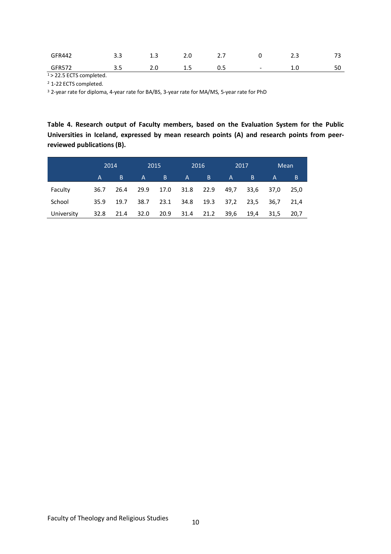| GFR442        | - -<br>- - | ∸.J | 2.U      | .<br>$- \cdot \cdot$ |        | ر . ب   | $\overline{\phantom{a}}$ |
|---------------|------------|-----|----------|----------------------|--------|---------|--------------------------|
| <b>GFR572</b> | - -        | ـ…  | <u>.</u> | U.J                  | $\sim$ | <b></b> | $\Gamma$<br>51           |

 $1 > 22.5$  ECTS completed.

<sup>2</sup> 1-22 ECTS completed.

<sup>3</sup> 2-year rate for diploma, 4-year rate for BA/BS, 3-year rate for MA/MS, 5-year rate for PhD

**Table 4. Research output of Faculty members, based on the Evaluation System for the Public Universities in Iceland, expressed by mean research points (A) and research points from peerreviewed publications (B).**

|            |                | 2014 |      | 2015 |              | 2016 | 2017         |      |              | Mean |
|------------|----------------|------|------|------|--------------|------|--------------|------|--------------|------|
|            | $\overline{A}$ | B    | A    | B    | $\mathsf{A}$ | B    | $\mathsf{A}$ | B    | $\mathsf{A}$ | B    |
| Faculty    | 36.7           | 26.4 | 29.9 |      | 17.0 31.8    | 22.9 | 49,7         | 33,6 | 37,0         | 25,0 |
| School     | 35.9           | 19.7 | 38.7 | 23.1 | 34.8 19.3    |      | 37,2         | 23,5 | 36.7         | 21.4 |
| University | 32.8           | 21.4 | 32.0 | 20.9 | 31.4         | 21.2 | 39,6         | 19,4 | 31,5         | 20,7 |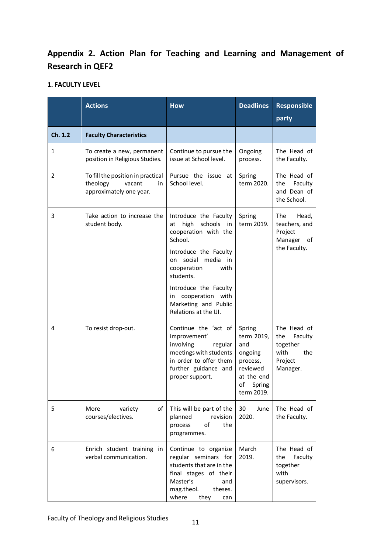### **Appendix 2. Action Plan for Teaching and Learning and Management of Research in QEF2**

#### **1. FACULTY LEVEL**

|         | <b>Actions</b>                                                                           | <b>How</b>                                                                                                                                                                                                                                                                    | <b>Deadlines</b>                                                                                           | <b>Responsible</b><br>party                                                     |
|---------|------------------------------------------------------------------------------------------|-------------------------------------------------------------------------------------------------------------------------------------------------------------------------------------------------------------------------------------------------------------------------------|------------------------------------------------------------------------------------------------------------|---------------------------------------------------------------------------------|
| Ch. 1.2 | <b>Faculty Characteristics</b>                                                           |                                                                                                                                                                                                                                                                               |                                                                                                            |                                                                                 |
| 1       | To create a new, permanent<br>position in Religious Studies.                             | Continue to pursue the<br>issue at School level.                                                                                                                                                                                                                              | Ongoing<br>process.                                                                                        | The Head of<br>the Faculty.                                                     |
| 2       | To fill the position in practical<br>theology<br>vacant<br>in<br>approximately one year. | Pursue the issue at<br>School level.                                                                                                                                                                                                                                          | Spring<br>term 2020.                                                                                       | The Head of<br>Faculty<br>the<br>and Dean of<br>the School.                     |
| 3       | Take action to increase the<br>student body.                                             | Introduce the Faculty<br>high<br>schools<br>in<br>at<br>cooperation with the<br>School.<br>Introduce the Faculty<br>on social media<br>in<br>cooperation<br>with<br>students.<br>Introduce the Faculty<br>in cooperation with<br>Marketing and Public<br>Relations at the UI. | Spring<br>term 2019.                                                                                       | The<br>Head,<br>teachers, and<br>Project<br>Manager of<br>the Faculty.          |
| 4       | To resist drop-out.                                                                      | Continue the 'act of<br>improvement'<br>involving<br>regular<br>meetings with students<br>in order to offer them<br>further guidance and<br>proper support.                                                                                                                   | Spring<br>term 2019,<br>and<br>ongoing<br>process,<br>reviewed<br>at the end<br>of<br>Spring<br>term 2019. | The Head of<br>the<br>Faculty<br>together<br>with<br>the<br>Project<br>Manager. |
| 5       | of<br>More<br>variety<br>courses/electives.                                              | This will be part of the<br>planned<br>revision<br>process<br>of<br>the<br>programmes.                                                                                                                                                                                        | 30<br>June<br>2020.                                                                                        | The Head of<br>the Faculty.                                                     |
| 6       | Enrich student training in<br>verbal communication.                                      | Continue to organize<br>regular seminars for<br>students that are in the<br>final stages of their<br>Master's<br>and<br>mag.theol.<br>theses.<br>where<br>they<br>can                                                                                                         | March<br>2019.                                                                                             | The Head of<br>Faculty<br>the<br>together<br>with<br>supervisors.               |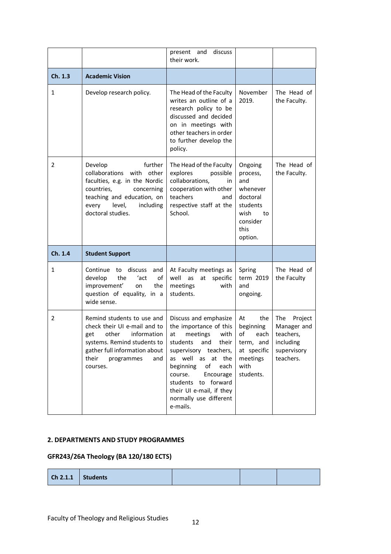|         |                                                                                                                                                                                                 | present and<br>discuss<br>their work.                                                                                                                                                      |                                                                                                             |                             |
|---------|-------------------------------------------------------------------------------------------------------------------------------------------------------------------------------------------------|--------------------------------------------------------------------------------------------------------------------------------------------------------------------------------------------|-------------------------------------------------------------------------------------------------------------|-----------------------------|
| Ch. 1.3 | <b>Academic Vision</b>                                                                                                                                                                          |                                                                                                                                                                                            |                                                                                                             |                             |
| 1       | Develop research policy.                                                                                                                                                                        | The Head of the Faculty<br>writes an outline of a<br>research policy to be<br>discussed and decided<br>on in meetings with<br>other teachers in order<br>to further develop the<br>policy. | November<br>2019.                                                                                           | The Head of<br>the Faculty. |
| 2       | Develop<br>further<br>collaborations with other<br>faculties, e.g. in the Nordic<br>countries,<br>concerning<br>teaching and education, on<br>every<br>level,<br>including<br>doctoral studies. | The Head of the Faculty<br>explores<br>possible<br>collaborations,<br>in<br>cooperation with other<br>teachers<br>and<br>respective staff at the<br>School.                                | Ongoing<br>process,<br>and<br>whenever<br>doctoral<br>students<br>wish<br>to<br>consider<br>this<br>option. | The Head of<br>the Faculty. |
| Ch. 1.4 | <b>Student Support</b>                                                                                                                                                                          |                                                                                                                                                                                            |                                                                                                             |                             |
| 1       | Continue to discuss<br>and<br>develop<br>the<br>ʻact<br>of<br>improvement'<br>on<br>the<br>question of equality, in a                                                                           | At Faculty meetings as<br>well as at<br>specific<br>meetings<br>with<br>students.                                                                                                          | Spring<br>term 2019<br>and<br>ongoing.                                                                      | The Head of<br>the Faculty  |
|         | wide sense.                                                                                                                                                                                     |                                                                                                                                                                                            |                                                                                                             |                             |

#### **2. DEPARTMENTS AND STUDY PROGRAMMES**

#### **GFR243/26A Theology (BA 120/180 ECTS)**

| $\vert$ Ch 2.1.1 $\vert$ Students |  |  |  |  |
|-----------------------------------|--|--|--|--|
|-----------------------------------|--|--|--|--|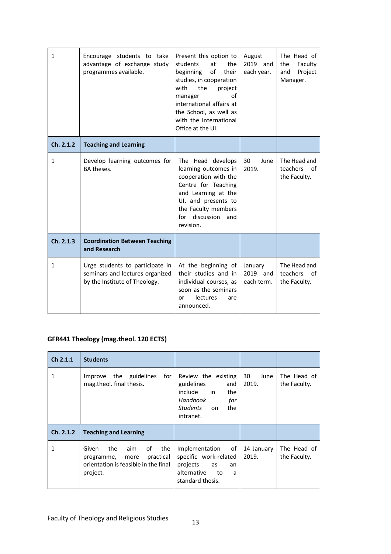| $\mathbf{1}$ | Encourage students to take<br>advantage of exchange study<br>programmes available.                  | Present this option to<br>students<br>at<br>the<br>of<br>beginning<br>their<br>studies, in cooperation<br>the<br>with<br>project<br>of<br>manager<br>international affairs at<br>the School, as well as<br>with the International<br>Office at the UI. | August<br>2019 and<br>each year.  | The Head of<br>the<br>Faculty<br>Project<br>and<br>Manager. |
|--------------|-----------------------------------------------------------------------------------------------------|--------------------------------------------------------------------------------------------------------------------------------------------------------------------------------------------------------------------------------------------------------|-----------------------------------|-------------------------------------------------------------|
| Ch. 2.1.2    | <b>Teaching and Learning</b>                                                                        |                                                                                                                                                                                                                                                        |                                   |                                                             |
| $\mathbf{1}$ | Develop learning outcomes for<br>BA theses.                                                         | The Head develops<br>learning outcomes in<br>cooperation with the<br>Centre for Teaching<br>and Learning at the<br>UI, and presents to<br>the Faculty members<br>for discussion and<br>revision.                                                       | 30<br>June<br>2019.               | The Head and<br>teachers<br>of<br>the Faculty.              |
| Ch. 2.1.3    | <b>Coordination Between Teaching</b><br>and Research                                                |                                                                                                                                                                                                                                                        |                                   |                                                             |
| 1            | Urge students to participate in<br>seminars and lectures organized<br>by the Institute of Theology. | At the beginning of<br>their studies and in<br>individual courses, as<br>soon as the seminars<br>lectures<br>or<br>are<br>announced.                                                                                                                   | January<br>2019 and<br>each term. | The Head and<br>teachers<br>of<br>the Faculty.              |

#### **GFR441 Theology (mag.theol. 120 ECTS)**

| Ch 2.1.1  | <b>Students</b>                                                                                                         |                                                                                                                                  |                     |                             |
|-----------|-------------------------------------------------------------------------------------------------------------------------|----------------------------------------------------------------------------------------------------------------------------------|---------------------|-----------------------------|
| 1         | Improve the guidelines<br>for<br>mag.theol. final thesis.                                                               | Review the existing<br>guidelines<br>and<br>include<br>in<br>the<br>Handbook<br>for<br>the<br><b>Students</b><br>on<br>intranet. | 30<br>June<br>2019. | The Head of<br>the Faculty. |
| Ch. 2.1.2 | <b>Teaching and Learning</b>                                                                                            |                                                                                                                                  |                     |                             |
| 1         | the<br>aim<br>of<br>the<br>Given<br>practical<br>more<br>programme,<br>orientation is feasible in the final<br>project. | of<br>Implementation<br>specific work-related<br>projects<br>as<br>an<br>alternative<br>to<br>a<br>standard thesis.              | 14 January<br>2019. | The Head of<br>the Faculty. |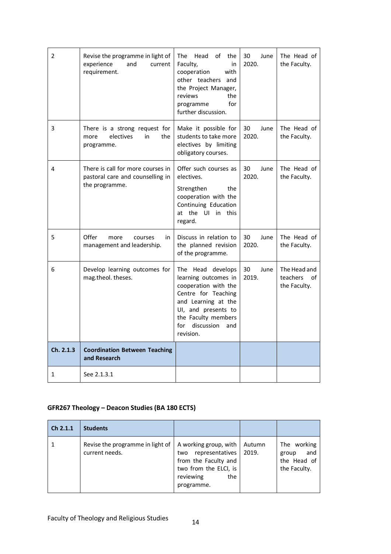| 2         | Revise the programme in light of<br>experience<br>and<br>current<br>requirement.        | The<br>Head<br>of<br>the<br>Faculty,<br>in<br>cooperation<br>with<br>other teachers and<br>the Project Manager,<br>the<br>reviews<br>for<br>programme<br>further discussion.                           | 30<br>June<br>2020. | The Head of<br>the Faculty.                    |
|-----------|-----------------------------------------------------------------------------------------|--------------------------------------------------------------------------------------------------------------------------------------------------------------------------------------------------------|---------------------|------------------------------------------------|
| 3         | There is a strong request for<br>electives<br>in<br>the<br>more<br>programme.           | Make it possible for<br>students to take more<br>electives by limiting<br>obligatory courses.                                                                                                          | 30<br>June<br>2020. | The Head of<br>the Faculty.                    |
| 4         | There is call for more courses in<br>pastoral care and counselling in<br>the programme. | Offer such courses as<br>electives.<br>the<br>Strengthen<br>cooperation with the<br>Continuing Education<br>at the UI in this<br>regard.                                                               | 30<br>June<br>2020. | The Head of<br>the Faculty.                    |
| 5         | Offer<br>more<br>courses<br>in<br>management and leadership.                            | Discuss in relation to<br>the planned revision<br>of the programme.                                                                                                                                    | 30<br>June<br>2020. | The Head of<br>the Faculty.                    |
| 6         | Develop learning outcomes for<br>mag.theol. theses.                                     | The Head develops<br>learning outcomes in<br>cooperation with the<br>Centre for Teaching<br>and Learning at the<br>UI, and presents to<br>the Faculty members<br>for<br>discussion<br>and<br>revision. | 30<br>June<br>2019. | The Head and<br>teachers<br>οf<br>the Faculty. |
| Ch. 2.1.3 | <b>Coordination Between Teaching</b><br>and Research                                    |                                                                                                                                                                                                        |                     |                                                |
| 1         | See 2.1.3.1                                                                             |                                                                                                                                                                                                        |                     |                                                |

#### **GFR267 Theology – Deacon Studies (BA 180 ECTS)**

| Ch 2.1.1 | <b>Students</b>                                    |                                                                                                                                    |                 |                                                            |
|----------|----------------------------------------------------|------------------------------------------------------------------------------------------------------------------------------------|-----------------|------------------------------------------------------------|
|          | Revise the programme in light of<br>current needs. | A working group, with<br>representatives<br>two<br>from the Faculty and<br>two from the ELCI, is<br>reviewing<br>the<br>programme. | Autumn<br>2019. | The working<br>and<br>group<br>the Head of<br>the Faculty. |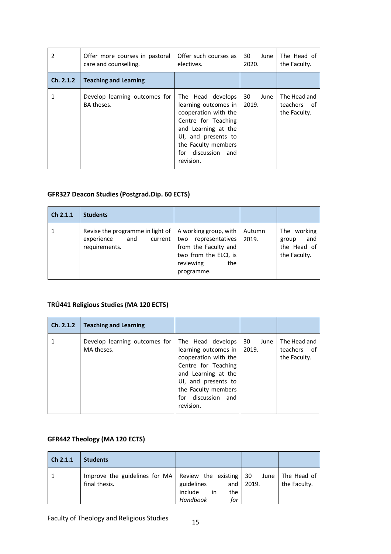| 2         | Offer more courses in pastoral<br>care and counselling. | Offer such courses as<br>electives.                                                                                                                                                                 | 30<br>June<br>2020. | The Head of<br>the Faculty.                 |
|-----------|---------------------------------------------------------|-----------------------------------------------------------------------------------------------------------------------------------------------------------------------------------------------------|---------------------|---------------------------------------------|
| Ch. 2.1.2 | <b>Teaching and Learning</b>                            |                                                                                                                                                                                                     |                     |                                             |
|           | Develop learning outcomes for<br>BA theses.             | The Head develops<br>learning outcomes in<br>cooperation with the<br>Centre for Teaching<br>and Learning at the<br>UI, and presents to<br>the Faculty members<br>for<br>discussion and<br>revision. | 30<br>June<br>2019. | The Head and<br>teachers of<br>the Faculty. |

#### **GFR327 Deacon Studies (Postgrad.Dip. 60 ECTS)**

| Ch 2.1.1 | <b>Students</b>                                                                     |                                                                                                                                    |                 |                                                            |
|----------|-------------------------------------------------------------------------------------|------------------------------------------------------------------------------------------------------------------------------------|-----------------|------------------------------------------------------------|
|          | Revise the programme in light of<br>experience<br>and<br>current  <br>requirements. | A working group, with<br>representatives<br>two<br>from the Faculty and<br>two from the ELCI, is<br>reviewing<br>the<br>programme. | Autumn<br>2019. | The working<br>and<br>group<br>the Head of<br>the Faculty. |

#### **TRÚ441 Religious Studies (MA 120 ECTS)**

| Ch. 2.1.2 | <b>Teaching and Learning</b>                |                                                                                                                                                                                                          |            |                                             |
|-----------|---------------------------------------------|----------------------------------------------------------------------------------------------------------------------------------------------------------------------------------------------------------|------------|---------------------------------------------|
|           | Develop learning outcomes for<br>MA theses. | The Head develops<br>learning outcomes in   2019.<br>cooperation with the<br>Centre for Teaching<br>and Learning at the<br>UI, and presents to<br>the Faculty members<br>for discussion and<br>revision. | 30<br>June | The Head and<br>teachers of<br>the Faculty. |

#### **GFR442 Theology (MA 120 ECTS)**

| Ch 2.1.1 | <b>Students</b> |                                                    |                   |                             |
|----------|-----------------|----------------------------------------------------|-------------------|-----------------------------|
|          | final thesis.   | guidelines<br>include in<br>the<br>Handbook<br>for | and $\vert$ 2019. | The Head of<br>the Faculty. |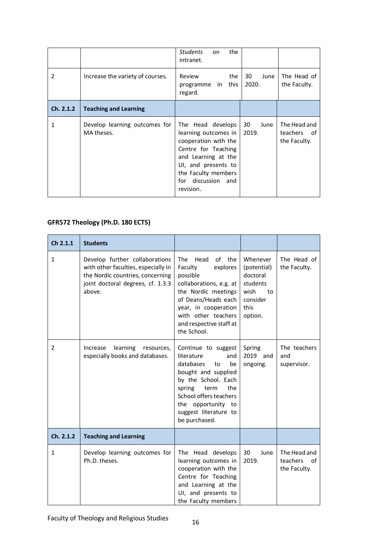|               |                                             | <b>Students</b><br>the<br>on.<br>intranet.                                                                                                                                                       |                     |                                             |
|---------------|---------------------------------------------|--------------------------------------------------------------------------------------------------------------------------------------------------------------------------------------------------|---------------------|---------------------------------------------|
| $\mathcal{P}$ | Increase the variety of courses.            | Review<br>the<br>this<br>programme in<br>regard.                                                                                                                                                 | 30<br>June<br>2020. | The Head of<br>the Faculty.                 |
| Ch. 2.1.2     | <b>Teaching and Learning</b>                |                                                                                                                                                                                                  |                     |                                             |
| 1             | Develop learning outcomes for<br>MA theses. | The Head develops<br>learning outcomes in<br>cooperation with the<br>Centre for Teaching<br>and Learning at the<br>UI, and presents to<br>the Faculty members<br>for discussion and<br>revision. | 30<br>June<br>2019. | The Head and<br>teachers of<br>the Faculty. |

#### **GFR572 Theology (Ph.D. 180 ECTS)**

| Ch 2.1.1     | <b>Students</b>                                                                                                                                          |                                                                                                                                                                                                                                   |                                                                                              |                                                |
|--------------|----------------------------------------------------------------------------------------------------------------------------------------------------------|-----------------------------------------------------------------------------------------------------------------------------------------------------------------------------------------------------------------------------------|----------------------------------------------------------------------------------------------|------------------------------------------------|
| $\mathbf{1}$ | Develop further collaborations<br>with other faculties, especially in<br>the Nordic countries, concerning<br>joint doctoral degrees, cf. 1.3.3<br>above. | <b>The</b><br>Head<br>of the<br>Faculty<br>explores<br>possible<br>collaborations, e.g. at<br>the Nordic meetings<br>of Deans/Heads each<br>year, in cooperation<br>with other teachers<br>and respective staff at<br>the School. | Whenever<br>(potential)<br>doctoral<br>students<br>wish<br>to<br>consider<br>this<br>option. | The Head of<br>the Faculty.                    |
| 2            | learning<br>Increase<br>resources,<br>especially books and databases.                                                                                    | Continue to suggest<br>literature<br>and<br>databases<br>be<br>to<br>bought and supplied<br>by the School. Each<br>spring term<br>the<br>School offers teachers<br>the opportunity to<br>suggest literature to<br>be purchased.   | Spring<br>2019 and<br>ongoing.                                                               | The teachers<br>and<br>supervisor.             |
| Ch. 2.1.2    | <b>Teaching and Learning</b>                                                                                                                             |                                                                                                                                                                                                                                   |                                                                                              |                                                |
| 1            | Develop learning outcomes for<br>Ph.D. theses.                                                                                                           | The Head develops<br>learning outcomes in<br>cooperation with the<br>Centre for Teaching<br>and Learning at the<br>UI, and presents to<br>the Faculty members                                                                     | 30<br>June<br>2019.                                                                          | The Head and<br>teachers<br>of<br>the Faculty. |